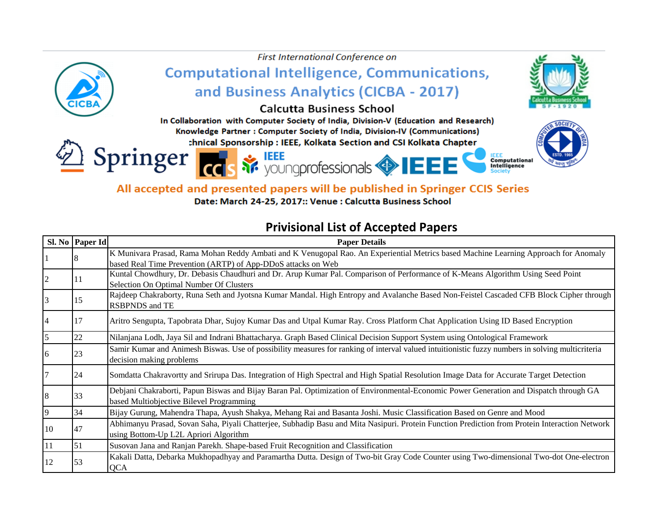

All accepted and presented papers will be published in Springer CCIS Series

Date: March 24-25, 2017:: Venue : Calcutta Business School

## **Privisional List of Accepted Papers**

|            | Sl. No Paper Id | <b>Paper Details</b>                                                                                                                                                               |
|------------|-----------------|------------------------------------------------------------------------------------------------------------------------------------------------------------------------------------|
|            |                 | K Munivara Prasad, Rama Mohan Reddy Ambati and K Venugopal Rao. An Experiential Metrics based Machine Learning Approach for Anomaly                                                |
|            |                 | based Real Time Prevention (ARTP) of App-DDoS attacks on Web                                                                                                                       |
|            | 11              | Kuntal Chowdhury, Dr. Debasis Chaudhuri and Dr. Arup Kumar Pal. Comparison of Performance of K-Means Algorithm Using Seed Point<br>Selection On Optimal Number Of Clusters         |
|            | 15              | Rajdeep Chakraborty, Runa Seth and Jyotsna Kumar Mandal. High Entropy and Avalanche Based Non-Feistel Cascaded CFB Block Cipher through<br><b>RSBPNDS</b> and TE                   |
|            | <sup>17</sup>   | Aritro Sengupta, Tapobrata Dhar, Sujoy Kumar Das and Utpal Kumar Ray. Cross Platform Chat Application Using ID Based Encryption                                                    |
|            | 22              | Nilanjana Lodh, Jaya Sil and Indrani Bhattacharya. Graph Based Clinical Decision Support System using Ontological Framework                                                        |
| 16         | 23              | Samir Kumar and Animesh Biswas. Use of possibility measures for ranking of interval valued intuitionistic fuzzy numbers in solving multicriteria<br>decision making problems       |
|            | 24              | Somdatta Chakravortty and Srirupa Das. Integration of High Spectral and High Spatial Resolution Image Data for Accurate Target Detection                                           |
|            | 33              | Debjani Chakraborti, Papun Biswas and Bijay Baran Pal. Optimization of Environmental-Economic Power Generation and Dispatch through GA<br>based Multiobjective Bilevel Programming |
| 19         | 34              | Bijay Gurung, Mahendra Thapa, Ayush Shakya, Mehang Rai and Basanta Joshi. Music Classification Based on Genre and Mood                                                             |
| 10         | 147             | Abhimanyu Prasad, Sovan Saha, Piyali Chatterjee, Subhadip Basu and Mita Nasipuri. Protein Function Prediction from Protein Interaction Network                                     |
|            |                 | using Bottom-Up L2L Apriori Algorithm                                                                                                                                              |
| $\vert$ 11 | $\vert$ 51      | Susovan Jana and Ranjan Parekh. Shape-based Fruit Recognition and Classification                                                                                                   |
| 12         | 53              | Kakali Datta, Debarka Mukhopadhyay and Paramartha Dutta. Design of Two-bit Gray Code Counter using Two-dimensional Two-dot One-electron<br><b>QCA</b>                              |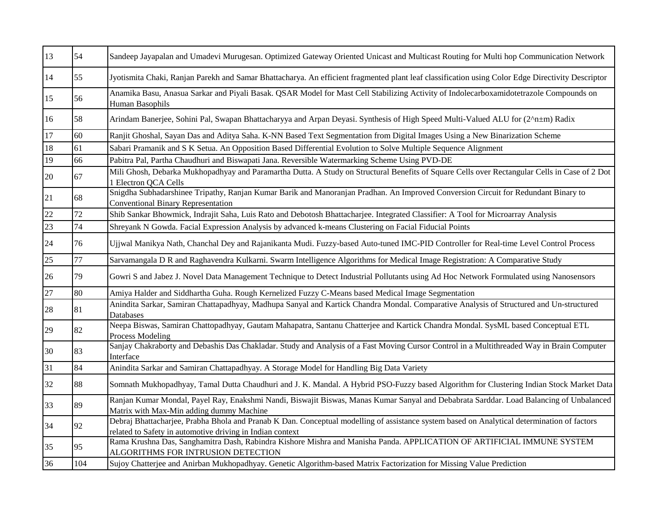| 13              | 54  | Sandeep Jayapalan and Umadevi Murugesan. Optimized Gateway Oriented Unicast and Multicast Routing for Multi hop Communication Network                                                                    |
|-----------------|-----|----------------------------------------------------------------------------------------------------------------------------------------------------------------------------------------------------------|
| 14              | 55  | Jyotismita Chaki, Ranjan Parekh and Samar Bhattacharya. An efficient fragmented plant leaf classification using Color Edge Directivity Descriptor                                                        |
| 15              | 56  | Anamika Basu, Anasua Sarkar and Piyali Basak. QSAR Model for Mast Cell Stabilizing Activity of Indolecarboxamidotetrazole Compounds on<br>Human Basophils                                                |
| $ 16\rangle$    | 58  | Arindam Banerjee, Sohini Pal, Swapan Bhattacharyya and Arpan Deyasi. Synthesis of High Speed Multi-Valued ALU for (2^n±m) Radix                                                                          |
| 17              | 60  | Ranjit Ghoshal, Sayan Das and Aditya Saha. K-NN Based Text Segmentation from Digital Images Using a New Binarization Scheme                                                                              |
| 18              | 61  | Sabari Pramanik and S K Setua. An Opposition Based Differential Evolution to Solve Multiple Sequence Alignment                                                                                           |
| $\overline{19}$ | 66  | Pabitra Pal, Partha Chaudhuri and Biswapati Jana. Reversible Watermarking Scheme Using PVD-DE                                                                                                            |
| 20              | 67  | Mili Ghosh, Debarka Mukhopadhyay and Paramartha Dutta. A Study on Structural Benefits of Square Cells over Rectangular Cells in Case of 2 Dot<br>1 Electron QCA Cells                                    |
| 21              | 68  | Snigdha Subhadarshinee Tripathy, Ranjan Kumar Barik and Manoranjan Pradhan. An Improved Conversion Circuit for Redundant Binary to<br><b>Conventional Binary Representation</b>                          |
| $\overline{22}$ | 72  | Shib Sankar Bhowmick, Indrajit Saha, Luis Rato and Debotosh Bhattacharjee. Integrated Classifier: A Tool for Microarray Analysis                                                                         |
| 23              | 74  | Shreyank N Gowda. Facial Expression Analysis by advanced k-means Clustering on Facial Fiducial Points                                                                                                    |
| 24              | 76  | Ujjwal Manikya Nath, Chanchal Dey and Rajanikanta Mudi. Fuzzy-based Auto-tuned IMC-PID Controller for Real-time Level Control Process                                                                    |
| 25              | 77  | Sarvamangala D R and Raghavendra Kulkarni. Swarm Intelligence Algorithms for Medical Image Registration: A Comparative Study                                                                             |
| 26              | 79  | Gowri S and Jabez J. Novel Data Management Technique to Detect Industrial Pollutants using Ad Hoc Network Formulated using Nanosensors                                                                   |
| $\overline{27}$ | 80  | Amiya Halder and Siddhartha Guha. Rough Kernelized Fuzzy C-Means based Medical Image Segmentation                                                                                                        |
| 28              | 81  | Anindita Sarkar, Samiran Chattapadhyay, Madhupa Sanyal and Kartick Chandra Mondal. Comparative Analysis of Structured and Un-structured<br>Databases                                                     |
| 29              | 82  | Neepa Biswas, Samiran Chattopadhyay, Gautam Mahapatra, Santanu Chatterjee and Kartick Chandra Mondal. SysML based Conceptual ETL<br>Process Modeling                                                     |
| 30              | 83  | Sanjay Chakraborty and Debashis Das Chakladar. Study and Analysis of a Fast Moving Cursor Control in a Multithreaded Way in Brain Computer<br>Interface                                                  |
| 31              | 84  | Anindita Sarkar and Samiran Chattapadhyay. A Storage Model for Handling Big Data Variety                                                                                                                 |
| 32              | 88  | Somnath Mukhopadhyay, Tamal Dutta Chaudhuri and J. K. Mandal. A Hybrid PSO-Fuzzy based Algorithm for Clustering Indian Stock Market Data                                                                 |
| 33              | 89  | Ranjan Kumar Mondal, Payel Ray, Enakshmi Nandi, Biswajit Biswas, Manas Kumar Sanyal and Debabrata Sarddar. Load Balancing of Unbalanced<br>Matrix with Max-Min adding dummy Machine                      |
| 34              | 92  | Debraj Bhattacharjee, Prabha Bhola and Pranab K Dan. Conceptual modelling of assistance system based on Analytical determination of factors<br>related to Safety in automotive driving in Indian context |
| 35              | 95  | Rama Krushna Das, Sanghamitra Dash, Rabindra Kishore Mishra and Manisha Panda. APPLICATION OF ARTIFICIAL IMMUNE SYSTEM<br>ALGORITHMS FOR INTRUSION DETECTION                                             |
| 36              | 104 | Sujoy Chatterjee and Anirban Mukhopadhyay. Genetic Algorithm-based Matrix Factorization for Missing Value Prediction                                                                                     |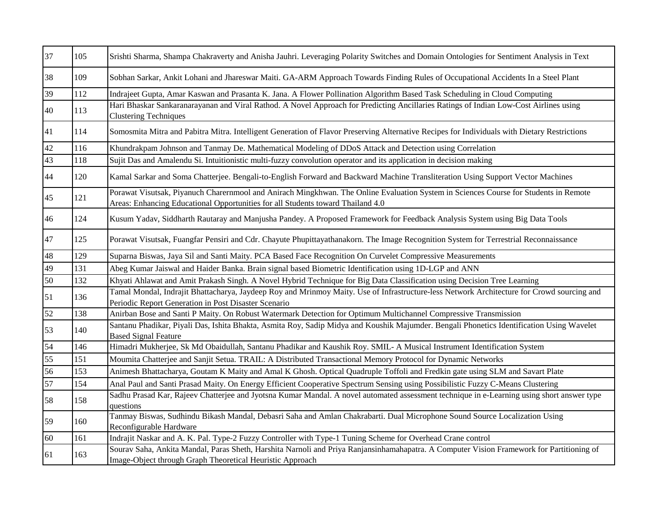| 37              | 105 | Srishti Sharma, Shampa Chakraverty and Anisha Jauhri. Leveraging Polarity Switches and Domain Ontologies for Sentiment Analysis in Text                                                                                 |
|-----------------|-----|-------------------------------------------------------------------------------------------------------------------------------------------------------------------------------------------------------------------------|
| 38              | 109 | Sobhan Sarkar, Ankit Lohani and Jhareswar Maiti. GA-ARM Approach Towards Finding Rules of Occupational Accidents In a Steel Plant                                                                                       |
| 39              | 112 | Indrajeet Gupta, Amar Kaswan and Prasanta K. Jana. A Flower Pollination Algorithm Based Task Scheduling in Cloud Computing                                                                                              |
| 40              | 113 | Hari Bhaskar Sankaranarayanan and Viral Rathod. A Novel Approach for Predicting Ancillaries Ratings of Indian Low-Cost Airlines using<br><b>Clustering Techniques</b>                                                   |
| 41              | 114 | Somosmita Mitra and Pabitra Mitra. Intelligent Generation of Flavor Preserving Alternative Recipes for Individuals with Dietary Restrictions                                                                            |
| 42              | 116 | Khundrakpam Johnson and Tanmay De. Mathematical Modeling of DDoS Attack and Detection using Correlation                                                                                                                 |
| 43              | 118 | Sujit Das and Amalendu Si. Intuitionistic multi-fuzzy convolution operator and its application in decision making                                                                                                       |
| 44              | 120 | Kamal Sarkar and Soma Chatterjee. Bengali-to-English Forward and Backward Machine Transliteration Using Support Vector Machines                                                                                         |
| 45              | 121 | Porawat Visutsak, Piyanuch Charernmool and Anirach Mingkhwan. The Online Evaluation System in Sciences Course for Students in Remote<br>Areas: Enhancing Educational Opportunities for all Students toward Thailand 4.0 |
| 46              | 124 | Kusum Yadav, Siddharth Rautaray and Manjusha Pandey. A Proposed Framework for Feedback Analysis System using Big Data Tools                                                                                             |
| 47              | 125 | Porawat Visutsak, Fuangfar Pensiri and Cdr. Chayute Phupittayathanakorn. The Image Recognition System for Terrestrial Reconnaissance                                                                                    |
| 48              | 129 | Suparna Biswas, Jaya Sil and Santi Maity. PCA Based Face Recognition On Curvelet Compressive Measurements                                                                                                               |
| 49              | 131 | Abeg Kumar Jaiswal and Haider Banka. Brain signal based Biometric Identification using 1D-LGP and ANN                                                                                                                   |
| 50              | 132 | Khyati Ahlawat and Amit Prakash Singh. A Novel Hybrid Technique for Big Data Classification using Decision Tree Learning                                                                                                |
| 51              | 136 | Tamal Mondal, Indrajit Bhattacharya, Jaydeep Roy and Mrinmoy Maity. Use of Infrastructure-less Network Architecture for Crowd sourcing and<br>Periodic Report Generation in Post Disaster Scenario                      |
| 52              | 138 | Anirban Bose and Santi P Maity. On Robust Watermark Detection for Optimum Multichannel Compressive Transmission                                                                                                         |
| 53              | 140 | Santanu Phadikar, Piyali Das, Ishita Bhakta, Asmita Roy, Sadip Midya and Koushik Majumder. Bengali Phonetics Identification Using Wavelet<br><b>Based Signal Feature</b>                                                |
| 54              | 146 | Himadri Mukherjee, Sk Md Obaidullah, Santanu Phadikar and Kaushik Roy. SMIL- A Musical Instrument Identification System                                                                                                 |
| $\overline{55}$ | 151 | Moumita Chatterjee and Sanjit Setua. TRAIL: A Distributed Transactional Memory Protocol for Dynamic Networks                                                                                                            |
| 56              | 153 | Animesh Bhattacharya, Goutam K Maity and Amal K Ghosh. Optical Quadruple Toffoli and Fredkin gate using SLM and Savart Plate                                                                                            |
| 57              | 154 | Anal Paul and Santi Prasad Maity. On Energy Efficient Cooperative Spectrum Sensing using Possibilistic Fuzzy C-Means Clustering                                                                                         |
| 58              | 158 | Sadhu Prasad Kar, Rajeev Chatterjee and Jyotsna Kumar Mandal. A novel automated assessment technique in e-Learning using short answer type<br>questions                                                                 |
| 59              | 160 | Tanmay Biswas, Sudhindu Bikash Mandal, Debasri Saha and Amlan Chakrabarti. Dual Microphone Sound Source Localization Using<br>Reconfigurable Hardware                                                                   |
| 60              | 161 | Indrajit Naskar and A. K. Pal. Type-2 Fuzzy Controller with Type-1 Tuning Scheme for Overhead Crane control                                                                                                             |
| 61              | 163 | Sourav Saha, Ankita Mandal, Paras Sheth, Harshita Narnoli and Priya Ranjansinhamahapatra. A Computer Vision Framework for Partitioning of<br>Image-Object through Graph Theoretical Heuristic Approach                  |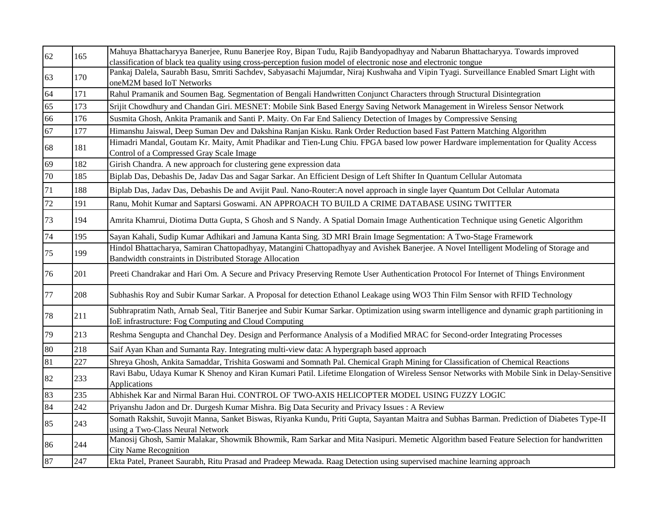| 62              | 165 | Mahuya Bhattacharyya Banerjee, Runu Banerjee Roy, Bipan Tudu, Rajib Bandyopadhyay and Nabarun Bhattacharyya. Towards improved                                                                          |
|-----------------|-----|--------------------------------------------------------------------------------------------------------------------------------------------------------------------------------------------------------|
|                 |     | classification of black tea quality using cross-perception fusion model of electronic nose and electronic tongue                                                                                       |
| 63              | 170 | Pankaj Dalela, Saurabh Basu, Smriti Sachdev, Sabyasachi Majumdar, Niraj Kushwaha and Vipin Tyagi. Surveillance Enabled Smart Light with<br>oneM2M based IoT Networks                                   |
| 64              | 171 | Rahul Pramanik and Soumen Bag. Segmentation of Bengali Handwritten Conjunct Characters through Structural Disintegration                                                                               |
| 65              | 173 | Srijit Chowdhury and Chandan Giri. MESNET: Mobile Sink Based Energy Saving Network Management in Wireless Sensor Network                                                                               |
| 66              | 176 | Susmita Ghosh, Ankita Pramanik and Santi P. Maity. On Far End Saliency Detection of Images by Compressive Sensing                                                                                      |
| 67              | 177 | Himanshu Jaiswal, Deep Suman Dev and Dakshina Ranjan Kisku. Rank Order Reduction based Fast Pattern Matching Algorithm                                                                                 |
| 68              | 181 | Himadri Mandal, Goutam Kr. Maity, Amit Phadikar and Tien-Lung Chiu. FPGA based low power Hardware implementation for Quality Access<br>Control of a Compressed Gray Scale Image                        |
| 69              | 182 | Girish Chandra. A new approach for clustering gene expression data                                                                                                                                     |
| 70              | 185 | Biplab Das, Debashis De, Jadav Das and Sagar Sarkar. An Efficient Design of Left Shifter In Quantum Cellular Automata                                                                                  |
| 71              | 188 | Biplab Das, Jadav Das, Debashis De and Avijit Paul. Nano-Router: A novel approach in single layer Quantum Dot Cellular Automata                                                                        |
| $\overline{72}$ | 191 | Ranu, Mohit Kumar and Saptarsi Goswami. AN APPROACH TO BUILD A CRIME DATABASE USING TWITTER                                                                                                            |
| 73              | 194 | Amrita Khamrui, Diotima Dutta Gupta, S Ghosh and S Nandy. A Spatial Domain Image Authentication Technique using Genetic Algorithm                                                                      |
| 74              | 195 | Sayan Kahali, Sudip Kumar Adhikari and Jamuna Kanta Sing. 3D MRI Brain Image Segmentation: A Two-Stage Framework                                                                                       |
| 75              | 199 | Hindol Bhattacharya, Samiran Chattopadhyay, Matangini Chattopadhyay and Avishek Banerjee. A Novel Intelligent Modeling of Storage and<br>Bandwidth constraints in Distributed Storage Allocation       |
| 76              | 201 | Preeti Chandrakar and Hari Om. A Secure and Privacy Preserving Remote User Authentication Protocol For Internet of Things Environment                                                                  |
| 77              | 208 | Subhashis Roy and Subir Kumar Sarkar. A Proposal for detection Ethanol Leakage using WO3 Thin Film Sensor with RFID Technology                                                                         |
| 78              | 211 | Subhrapratim Nath, Arnab Seal, Titir Banerjee and Subir Kumar Sarkar. Optimization using swarm intelligence and dynamic graph partitioning in<br>IoE infrastructure: Fog Computing and Cloud Computing |
| 79              | 213 | Reshma Sengupta and Chanchal Dey. Design and Performance Analysis of a Modified MRAC for Second-order Integrating Processes                                                                            |
| 80              | 218 | Saif Ayan Khan and Sumanta Ray. Integrating multi-view data: A hypergraph based approach                                                                                                               |
| 81              | 227 | Shreya Ghosh, Ankita Samaddar, Trishita Goswami and Somnath Pal. Chemical Graph Mining for Classification of Chemical Reactions                                                                        |
| 82              | 233 | Ravi Babu, Udaya Kumar K Shenoy and Kiran Kumari Patil. Lifetime Elongation of Wireless Sensor Networks with Mobile Sink in Delay-Sensitive<br>Applications                                            |
| 83              | 235 | Abhishek Kar and Nirmal Baran Hui. CONTROL OF TWO-AXIS HELICOPTER MODEL USING FUZZY LOGIC                                                                                                              |
| 84              | 242 | Priyanshu Jadon and Dr. Durgesh Kumar Mishra. Big Data Security and Privacy Issues: A Review                                                                                                           |
| 85              | 243 | Somath Rakshit, Suvojit Manna, Sanket Biswas, Riyanka Kundu, Priti Gupta, Sayantan Maitra and Subhas Barman. Prediction of Diabetes Type-II<br>using a Two-Class Neural Network                        |
| 86              | 244 | Manosij Ghosh, Samir Malakar, Showmik Bhowmik, Ram Sarkar and Mita Nasipuri. Memetic Algorithm based Feature Selection for handwritten<br><b>City Name Recognition</b>                                 |
| 87              | 247 | Ekta Patel, Praneet Saurabh, Ritu Prasad and Pradeep Mewada. Raag Detection using supervised machine learning approach                                                                                 |